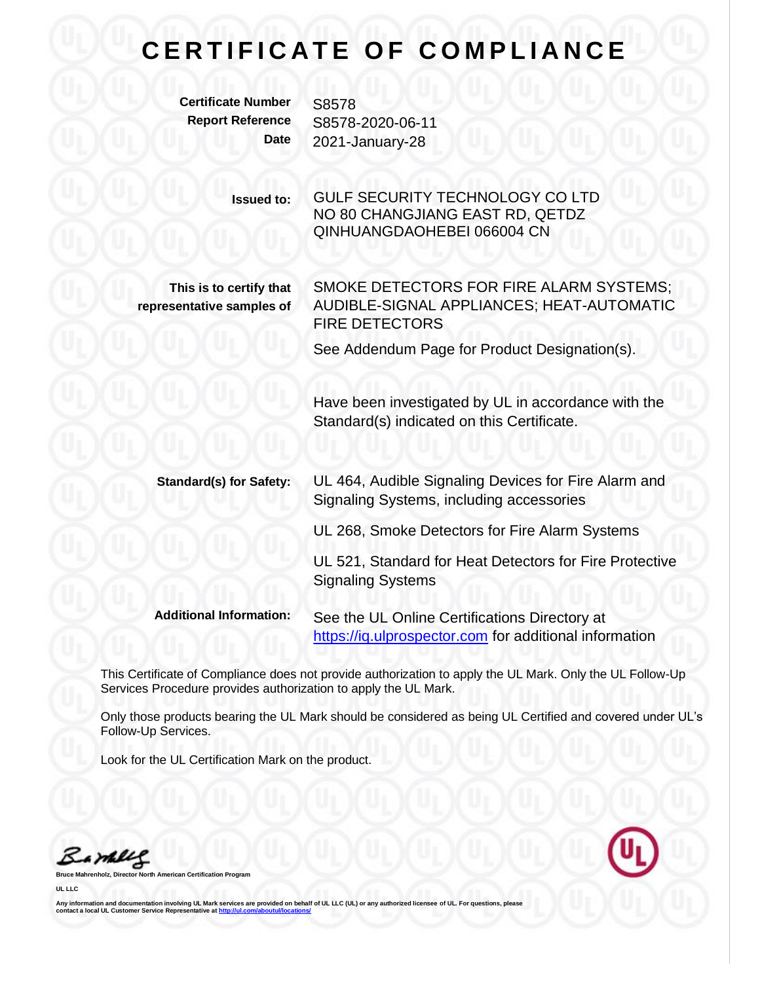## **CERTIFICATE OF COMPLIANCE**

**Certificate Number** S8578

**Report Reference** S8578-2020-06-11 **Date** 2021-January-28

> **Issued to:** GULF SECURITY TECHNOLOGY CO LTD NO 80 CHANGJIANG EAST RD, QETDZ QINHUANGDAOHEBEI 066004 CN

**This is to certify that representative samples of** SMOKE DETECTORS FOR FIRE ALARM SYSTEMS; AUDIBLE-SIGNAL APPLIANCES; HEAT-AUTOMATIC FIRE DETECTORS

See Addendum Page for Product Designation(s).

Have been investigated by UL in accordance with the Standard(s) indicated on this Certificate.

**Standard(s) for Safety:** UL 464, Audible Signaling Devices for Fire Alarm and Signaling Systems, including accessories

UL 268, Smoke Detectors for Fire Alarm Systems

UL 521, Standard for Heat Detectors for Fire Protective Signaling Systems

**Additional Information:** See the UL Online Certifications Directory at [https://iq.ulprospector.com](https://iq.ulprospector.com/) for additional information

This Certificate of Compliance does not provide authorization to apply the UL Mark. Only the UL Follow-Up Services Procedure provides authorization to apply the UL Mark.

Only those products bearing the UL Mark should be considered as being UL Certified and covered under UL's Follow-Up Services.

Look for the UL Certification Mark on the product.

Barney

**Bruce Mahrenholz, Director North American Certification Program**

**UL LLC**

**Any information and documentation involving UL Mark services are provided on behalf of UL LLC (UL) or any authorized licensee of UL. For questions, please contact a local UL Customer Service Representative a[t http://ul.com/aboutul/locations/](http://ul.com/aboutul/locations/)**